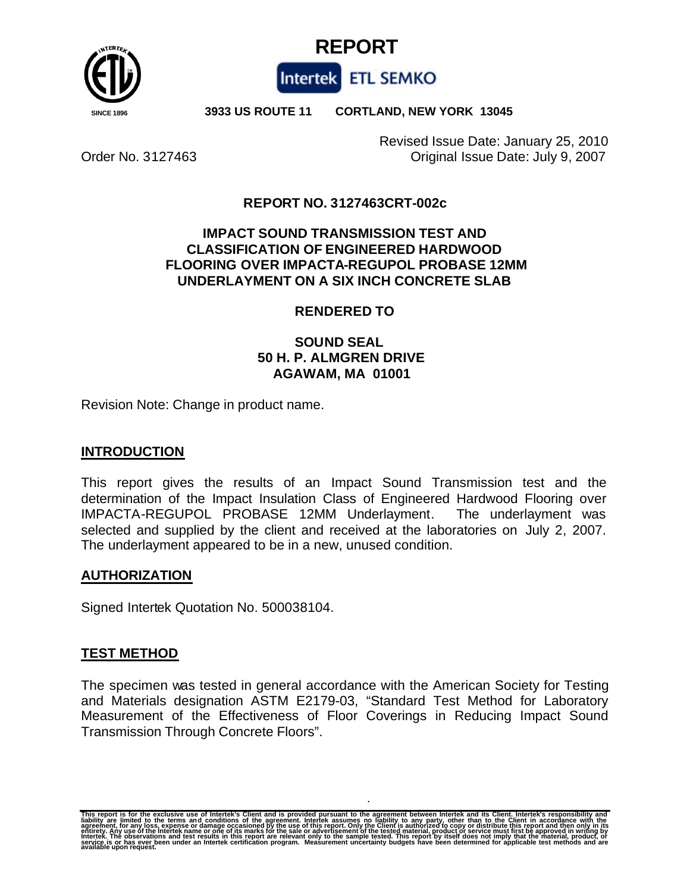



 **SINCE 1896 3933 US ROUTE 11 CORTLAND, NEW YORK 13045**

Revised Issue Date: January 25, 2010 Order No. 3127463 Original Issue Date: July 9, 2007

# **REPORT NO. 3127463CRT-002c**

# **IMPACT SOUND TRANSMISSION TEST AND CLASSIFICATION OF ENGINEERED HARDWOOD FLOORING OVER IMPACTA-REGUPOL PROBASE 12MM UNDERLAYMENT ON A SIX INCH CONCRETE SLAB**

# **RENDERED TO**

# **SOUND SEAL 50 H. P. ALMGREN DRIVE AGAWAM, MA 01001**

Revision Note: Change in product name.

# **INTRODUCTION**

This report gives the results of an Impact Sound Transmission test and the determination of the Impact Insulation Class of Engineered Hardwood Flooring over IMPACTA-REGUPOL PROBASE 12MM Underlayment. The underlayment was selected and supplied by the client and received at the laboratories on July 2, 2007. The underlayment appeared to be in a new, unused condition.

# **AUTHORIZATION**

Signed Intertek Quotation No. 500038104.

# **TEST METHOD**

The specimen was tested in general accordance with the American Society for Testing and Materials designation ASTM E2179-03, "Standard Test Method for Laboratory Measurement of the Effectiveness of Floor Coverings in Reducing Impact Sound Transmission Through Concrete Floors".

This report is for the exclusive use of Intertek's Client and is provided pursuant to the agreement between Intertek and its Client. Intertek's responsibility and<br>liability are limited to the terms and conditions of the ag eñtirety. Any use of the Intertek name or oñe of its marks for the sale or advertisement of the tested material, product or service must first be approved in writing by<br>Intertek. The observations and test results in this r The observations and test reprinting the or has ever been under an

**.**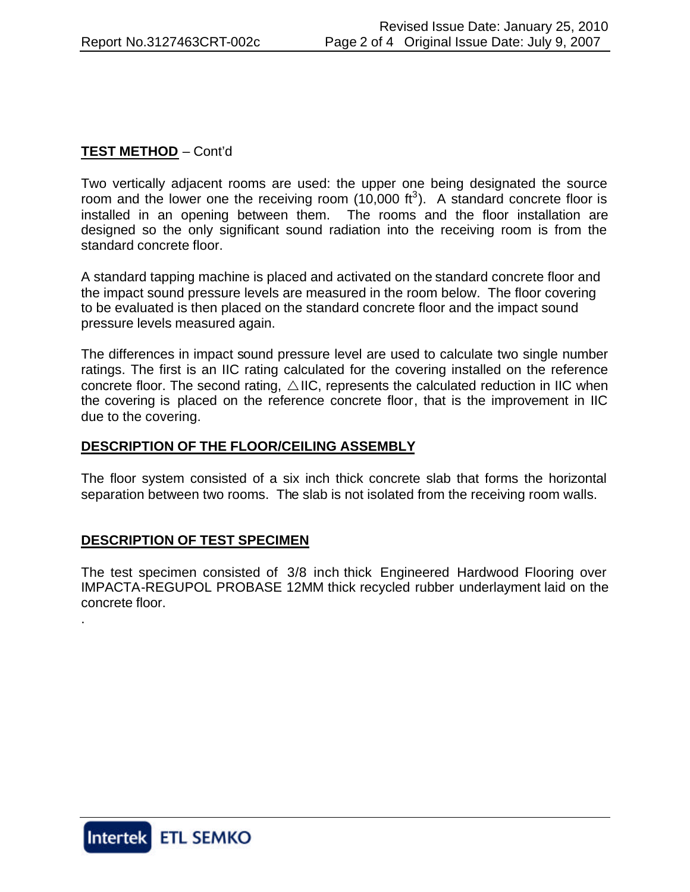# **TEST METHOD** – Cont'd

Two vertically adjacent rooms are used: the upper one being designated the source room and the lower one the receiving room  $(10,000 \text{ ft}^3)$ . A standard concrete floor is installed in an opening between them. The rooms and the floor installation are designed so the only significant sound radiation into the receiving room is from the standard concrete floor.

A standard tapping machine is placed and activated on the standard concrete floor and the impact sound pressure levels are measured in the room below. The floor covering to be evaluated is then placed on the standard concrete floor and the impact sound pressure levels measured again.

The differences in impact sound pressure level are used to calculate two single number ratings. The first is an IIC rating calculated for the covering installed on the reference concrete floor. The second rating,  $\triangle$  IIC, represents the calculated reduction in IIC when the covering is placed on the reference concrete floor, that is the improvement in IIC due to the covering.

### **DESCRIPTION OF THE FLOOR/CEILING ASSEMBLY**

The floor system consisted of a six inch thick concrete slab that forms the horizontal separation between two rooms. The slab is not isolated from the receiving room walls.

### **DESCRIPTION OF TEST SPECIMEN**

The test specimen consisted of 3/8 inch thick Engineered Hardwood Flooring over IMPACTA-REGUPOL PROBASE 12MM thick recycled rubber underlayment laid on the concrete floor.



.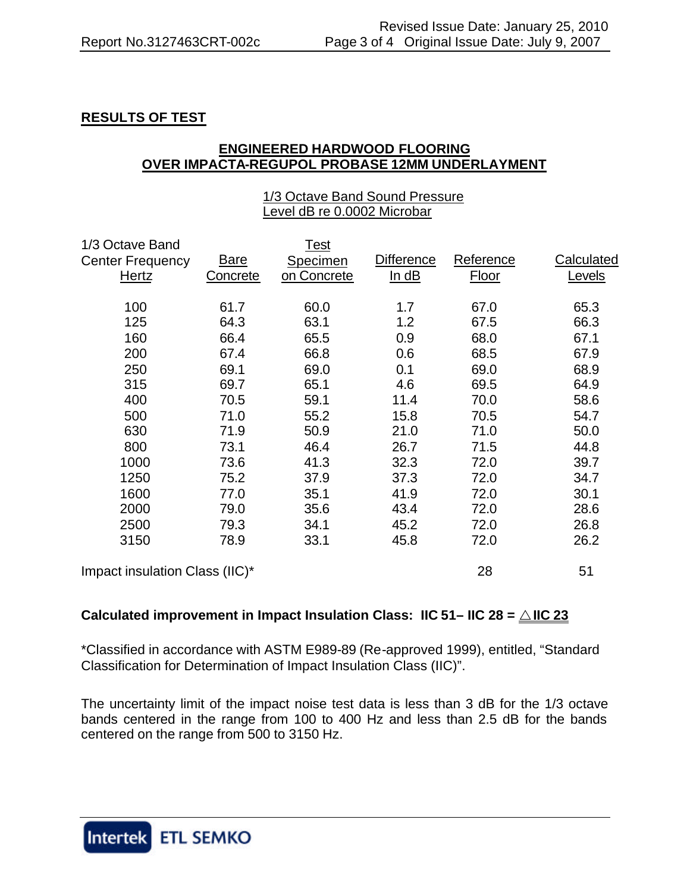# **RESULTS OF TEST**

### **ENGINEERED HARDWOOD FLOORING OVER IMPACTA-REGUPOL PROBASE 12MM UNDERLAYMENT**

#### 1/3 Octave Band Sound Pressure Level dB re 0.0002 Microbar

| 1/3 Octave Band                |          | Test        |            |           |            |
|--------------------------------|----------|-------------|------------|-----------|------------|
| <b>Center Frequency</b>        | Bare     | Specimen    | Difference | Reference | Calculated |
| Hertz                          | Concrete | on Concrete | ln dB      | Floor     | Levels     |
| 100                            | 61.7     | 60.0        | 1.7        | 67.0      | 65.3       |
| 125                            | 64.3     | 63.1        | 1.2        | 67.5      | 66.3       |
| 160                            | 66.4     | 65.5        | 0.9        | 68.0      | 67.1       |
| 200                            | 67.4     | 66.8        | 0.6        | 68.5      | 67.9       |
| 250                            | 69.1     | 69.0        | 0.1        | 69.0      | 68.9       |
| 315                            | 69.7     | 65.1        | 4.6        | 69.5      | 64.9       |
| 400                            | 70.5     | 59.1        | 11.4       | 70.0      | 58.6       |
| 500                            | 71.0     | 55.2        | 15.8       | 70.5      | 54.7       |
| 630                            | 71.9     | 50.9        | 21.0       | 71.0      | 50.0       |
| 800                            | 73.1     | 46.4        | 26.7       | 71.5      | 44.8       |
| 1000                           | 73.6     | 41.3        | 32.3       | 72.0      | 39.7       |
| 1250                           | 75.2     | 37.9        | 37.3       | 72.0      | 34.7       |
| 1600                           | 77.0     | 35.1        | 41.9       | 72.0      | 30.1       |
| 2000                           | 79.0     | 35.6        | 43.4       | 72.0      | 28.6       |
| 2500                           | 79.3     | 34.1        | 45.2       | 72.0      | 26.8       |
| 3150                           | 78.9     | 33.1        | 45.8       | 72.0      | 26.2       |
| Impact insulation Class (IIC)* |          |             |            | 28        | 51         |

# **Calculated improvement in Impact Insulation Class: IIC 51– IIC 28 =**  $\triangle$  **IIC 23**

\*Classified in accordance with ASTM E989-89 (Re-approved 1999), entitled, "Standard Classification for Determination of Impact Insulation Class (IIC)".

The uncertainty limit of the impact noise test data is less than 3 dB for the 1/3 octave bands centered in the range from 100 to 400 Hz and less than 2.5 dB for the bands centered on the range from 500 to 3150 Hz.